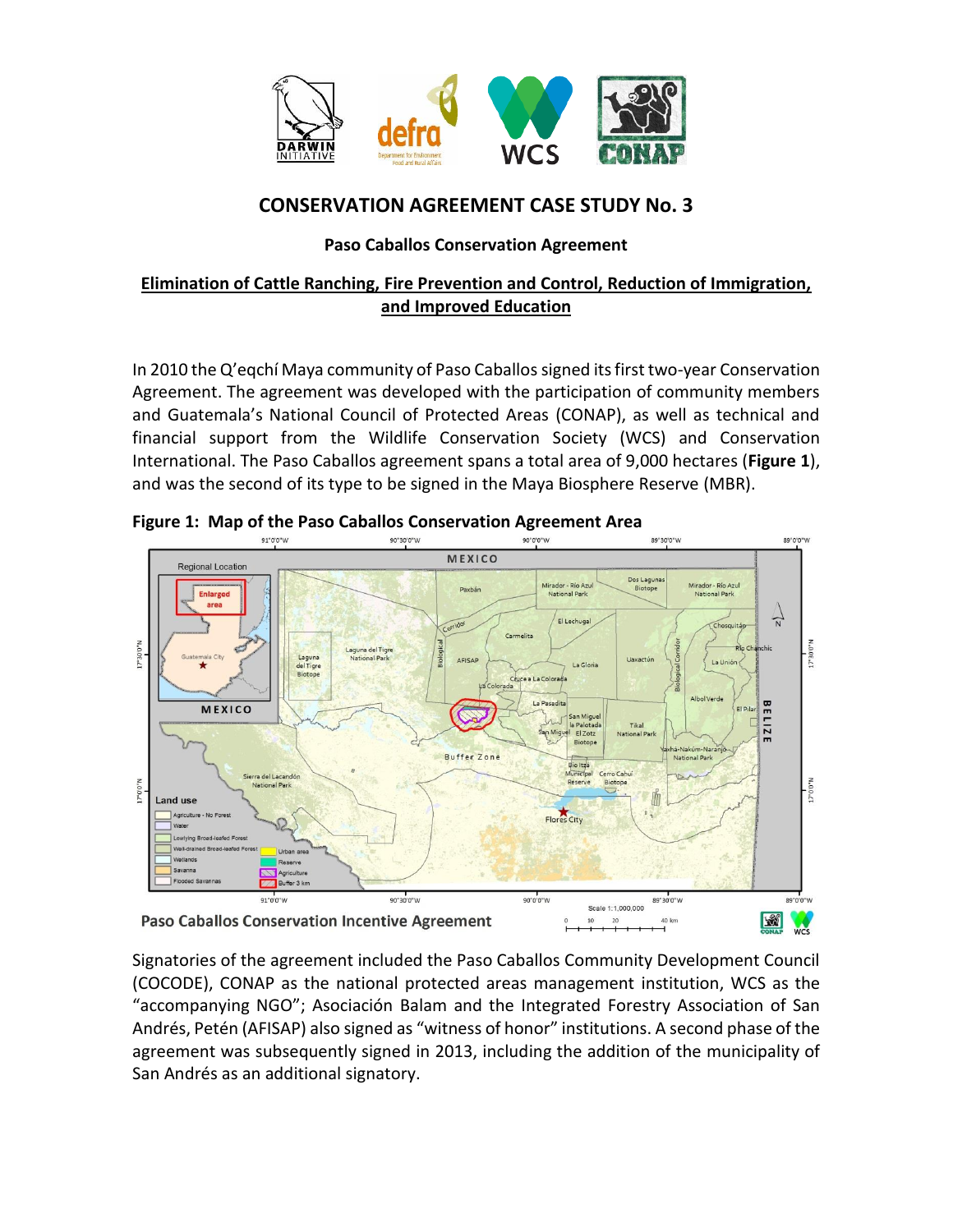

# **CONSERVATION AGREEMENT CASE STUDY No. 3**

### **Paso Caballos Conservation Agreement**

## **Elimination of Cattle Ranching, Fire Prevention and Control, Reduction of Immigration, and Improved Education**

In 2010 the Q'egchí Maya community of Paso Caballos signed its first two-year Conservation Agreement. The agreement was developed with the participation of community members and Guatemala's National Council of Protected Areas (CONAP), as well as technical and financial support from the Wildlife Conservation Society (WCS) and Conservation International. The Paso Caballos agreement spans a total area of 9,000 hectares (**Figure 1**), and was the second of its type to be signed in the Maya Biosphere Reserve (MBR).



**Figure 1: Map of the Paso Caballos Conservation Agreement Area**

Signatories of the agreement included the Paso Caballos Community Development Council (COCODE), CONAP as the national protected areas management institution, WCS as the "accompanying NGO"; Asociación Balam and the Integrated Forestry Association of San Andrés, Petén (AFISAP) also signed as "witness of honor" institutions. A second phase of the agreement was subsequently signed in 2013, including the addition of the municipality of San Andrés as an additional signatory.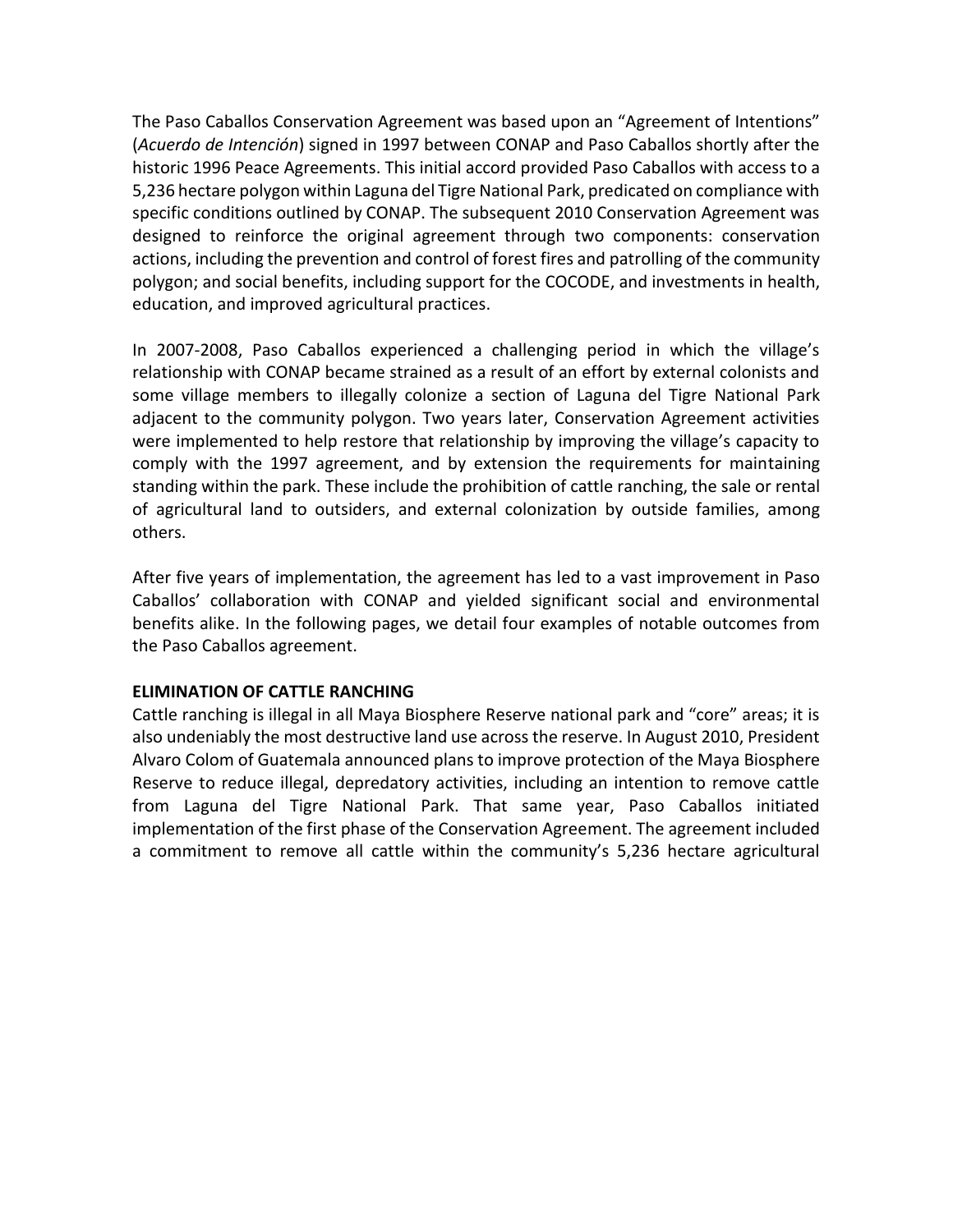The Paso Caballos Conservation Agreement was based upon an "Agreement of Intentions" (*Acuerdo de Intención*) signed in 1997 between CONAP and Paso Caballos shortly after the historic 1996 Peace Agreements. This initial accord provided Paso Caballos with access to a 5,236 hectare polygon within Laguna del Tigre National Park, predicated on compliance with specific conditions outlined by CONAP. The subsequent 2010 Conservation Agreement was designed to reinforce the original agreement through two components: conservation actions, including the prevention and control of forest fires and patrolling of the community polygon; and social benefits, including support for the COCODE, and investments in health, education, and improved agricultural practices.

In 2007-2008, Paso Caballos experienced a challenging period in which the village's relationship with CONAP became strained as a result of an effort by external colonists and some village members to illegally colonize a section of Laguna del Tigre National Park adjacent to the community polygon. Two years later, Conservation Agreement activities were implemented to help restore that relationship by improving the village's capacity to comply with the 1997 agreement, and by extension the requirements for maintaining standing within the park. These include the prohibition of cattle ranching, the sale or rental of agricultural land to outsiders, and external colonization by outside families, among others.

After five years of implementation, the agreement has led to a vast improvement in Paso Caballos' collaboration with CONAP and yielded significant social and environmental benefits alike. In the following pages, we detail four examples of notable outcomes from the Paso Caballos agreement.

#### **ELIMINATION OF CATTLE RANCHING**

Cattle ranching is illegal in all Maya Biosphere Reserve national park and "core" areas; it is also undeniably the most destructive land use across the reserve. In August 2010, President Alvaro Colom of Guatemala announced plans to improve protection of the Maya Biosphere Reserve to reduce illegal, depredatory activities, including an intention to remove cattle from Laguna del Tigre National Park. That same year, Paso Caballos initiated implementation of the first phase of the Conservation Agreement. The agreement included a commitment to remove all cattle within the community's 5,236 hectare agricultural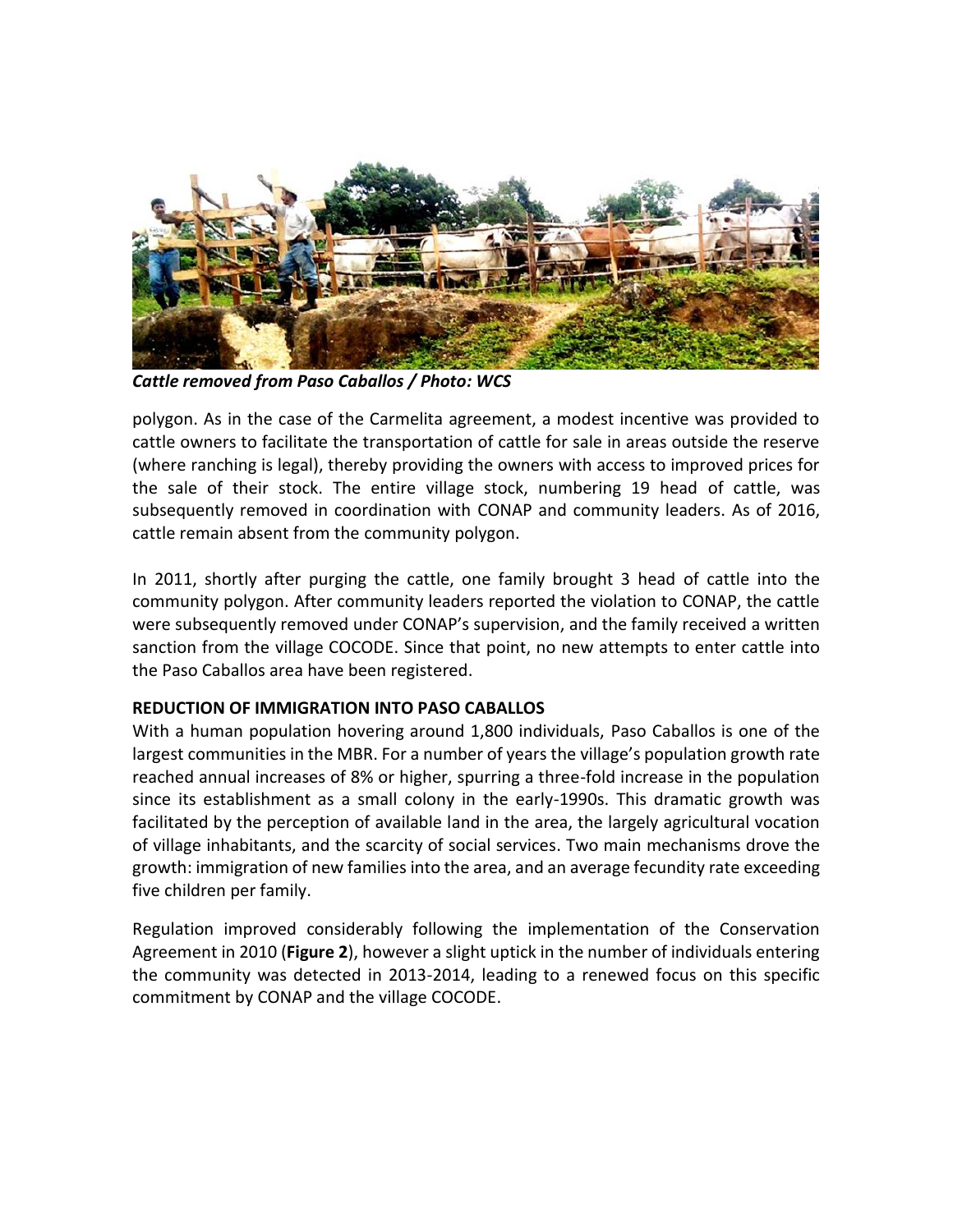

*Cattle removed from Paso Caballos / Photo: WCS*

polygon. As in the case of the Carmelita agreement, a modest incentive was provided to cattle owners to facilitate the transportation of cattle for sale in areas outside the reserve (where ranching is legal), thereby providing the owners with access to improved prices for the sale of their stock. The entire village stock, numbering 19 head of cattle, was subsequently removed in coordination with CONAP and community leaders. As of 2016, cattle remain absent from the community polygon.

In 2011, shortly after purging the cattle, one family brought 3 head of cattle into the community polygon. After community leaders reported the violation to CONAP, the cattle were subsequently removed under CONAP's supervision, and the family received a written sanction from the village COCODE. Since that point, no new attempts to enter cattle into the Paso Caballos area have been registered.

### **REDUCTION OF IMMIGRATION INTO PASO CABALLOS**

With a human population hovering around 1,800 individuals, Paso Caballos is one of the largest communities in the MBR. For a number of years the village's population growth rate reached annual increases of 8% or higher, spurring a three-fold increase in the population since its establishment as a small colony in the early-1990s. This dramatic growth was facilitated by the perception of available land in the area, the largely agricultural vocation of village inhabitants, and the scarcity of social services. Two main mechanisms drove the growth: immigration of new families into the area, and an average fecundity rate exceeding five children per family.

Regulation improved considerably following the implementation of the Conservation Agreement in 2010 (**Figure 2**), however a slight uptick in the number of individuals entering the community was detected in 2013-2014, leading to a renewed focus on this specific commitment by CONAP and the village COCODE.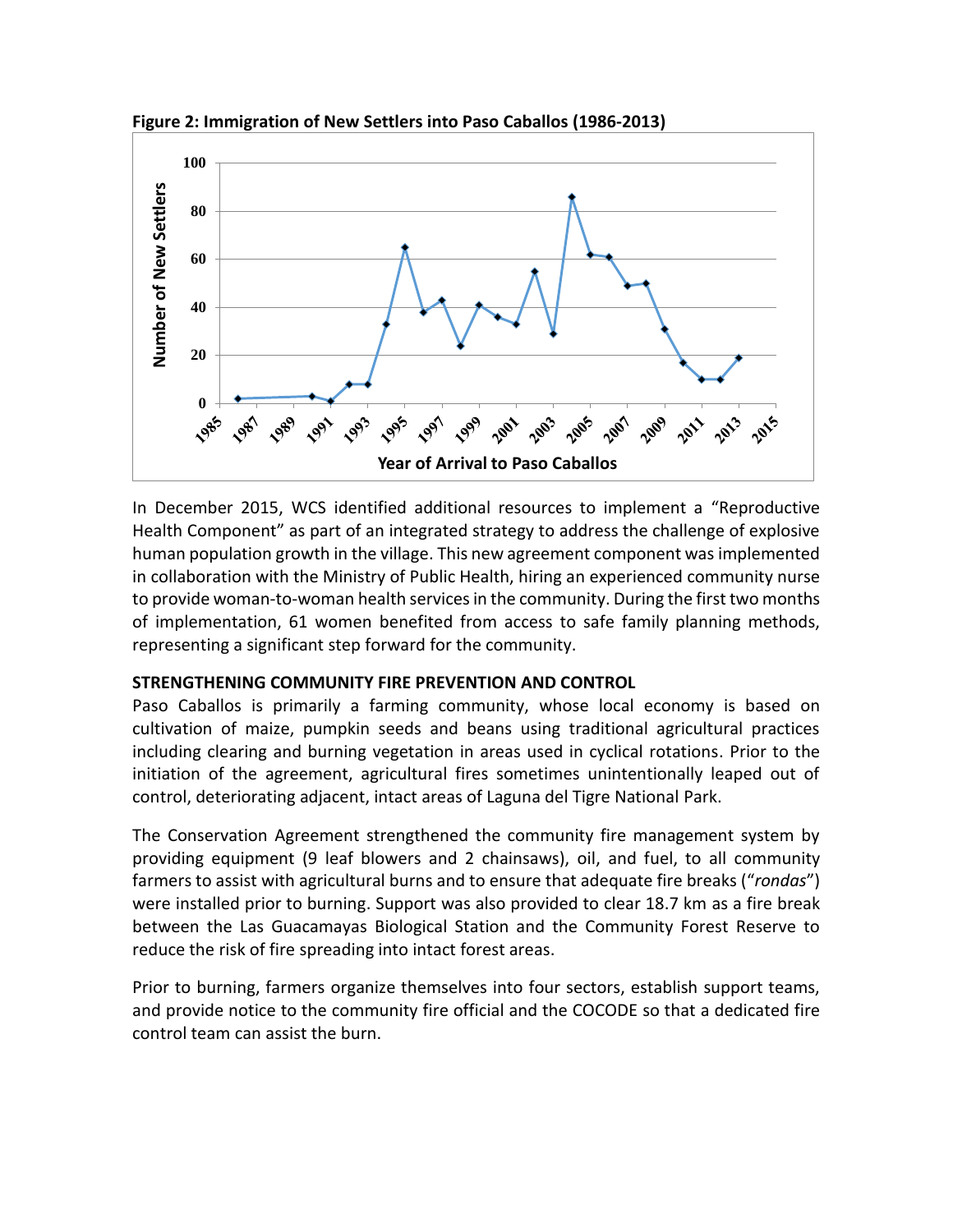

**Figure 2: Immigration of New Settlers into Paso Caballos (1986-2013)**

In December 2015, WCS identified additional resources to implement a "Reproductive Health Component" as part of an integrated strategy to address the challenge of explosive human population growth in the village. This new agreement component was implemented in collaboration with the Ministry of Public Health, hiring an experienced community nurse to provide woman-to-woman health servicesin the community. During the first two months of implementation, 61 women benefited from access to safe family planning methods, representing a significant step forward for the community.

#### **STRENGTHENING COMMUNITY FIRE PREVENTION AND CONTROL**

Paso Caballos is primarily a farming community, whose local economy is based on cultivation of maize, pumpkin seeds and beans using traditional agricultural practices including clearing and burning vegetation in areas used in cyclical rotations. Prior to the initiation of the agreement, agricultural fires sometimes unintentionally leaped out of control, deteriorating adjacent, intact areas of Laguna del Tigre National Park.

The Conservation Agreement strengthened the community fire management system by providing equipment (9 leaf blowers and 2 chainsaws), oil, and fuel, to all community farmers to assist with agricultural burns and to ensure that adequate fire breaks ("*rondas*") were installed prior to burning. Support was also provided to clear 18.7 km as a fire break between the Las Guacamayas Biological Station and the Community Forest Reserve to reduce the risk of fire spreading into intact forest areas.

Prior to burning, farmers organize themselves into four sectors, establish support teams, and provide notice to the community fire official and the COCODE so that a dedicated fire control team can assist the burn.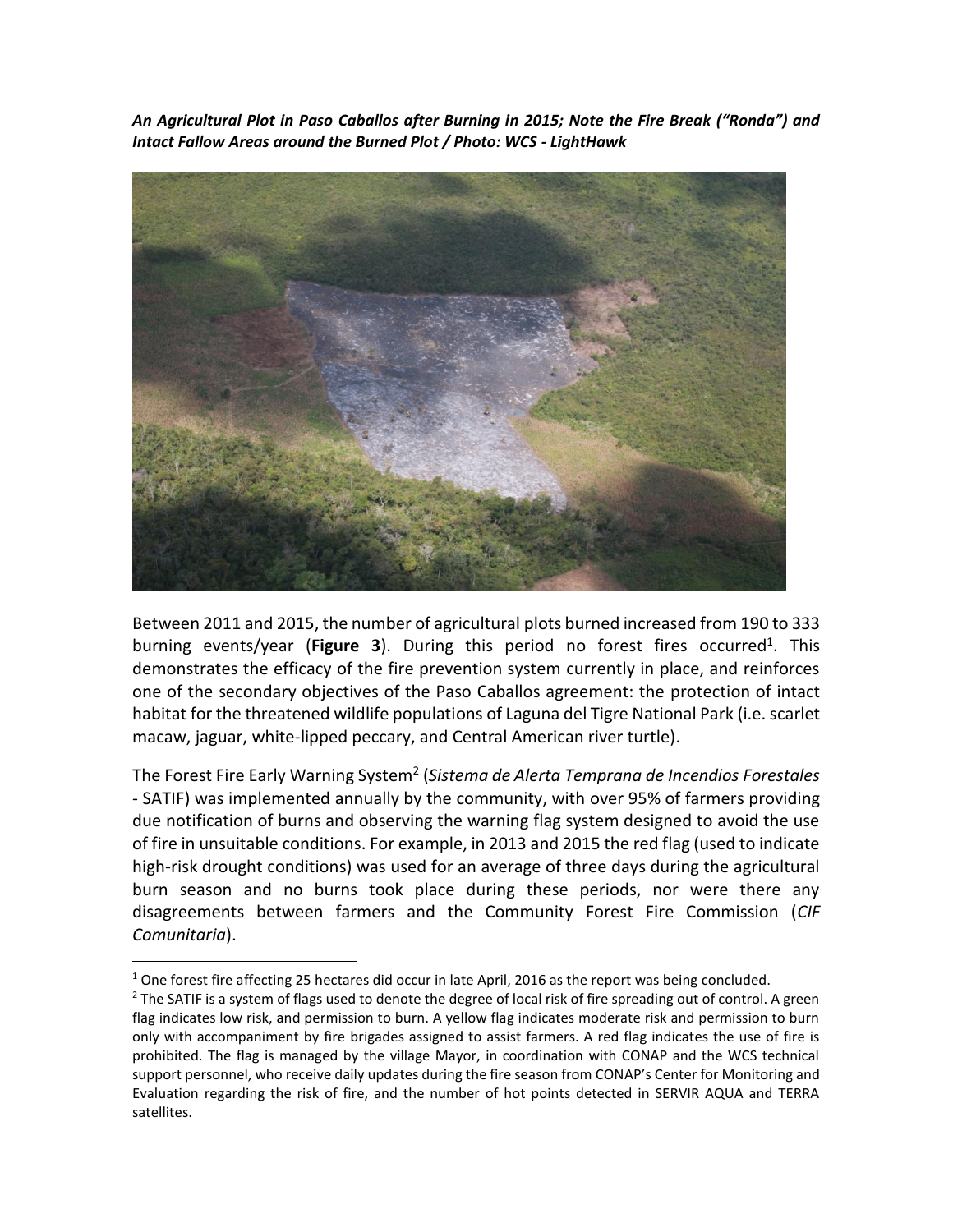*An Agricultural Plot in Paso Caballos after Burning in 2015; Note the Fire Break ("Ronda") and Intact Fallow Areas around the Burned Plot / Photo: WCS - LightHawk* 



Between 2011 and 2015, the number of agricultural plots burned increased from 190 to 333 burning events/year (Figure 3). During this period no forest fires occurred<sup>1</sup>. This demonstrates the efficacy of the fire prevention system currently in place, and reinforces one of the secondary objectives of the Paso Caballos agreement: the protection of intact habitat for the threatened wildlife populations of Laguna del Tigre National Park (i.e. scarlet macaw, jaguar, white-lipped peccary, and Central American river turtle).

The Forest Fire Early Warning System<sup>2</sup> (*Sistema de Alerta Temprana de Incendios Forestales* - SATIF) was implemented annually by the community, with over 95% of farmers providing due notification of burns and observing the warning flag system designed to avoid the use of fire in unsuitable conditions. For example, in 2013 and 2015 the red flag (used to indicate high-risk drought conditions) was used for an average of three days during the agricultural burn season and no burns took place during these periods, nor were there any disagreements between farmers and the Community Forest Fire Commission (*CIF Comunitaria*).

 $\overline{a}$ 

<sup>&</sup>lt;sup>1</sup> One forest fire affecting 25 hectares did occur in late April, 2016 as the report was being concluded.

<sup>&</sup>lt;sup>2</sup> The SATIF is a system of flags used to denote the degree of local risk of fire spreading out of control. A green flag indicates low risk, and permission to burn. A yellow flag indicates moderate risk and permission to burn only with accompaniment by fire brigades assigned to assist farmers. A red flag indicates the use of fire is prohibited. The flag is managed by the village Mayor, in coordination with CONAP and the WCS technical support personnel, who receive daily updates during the fire season from CONAP's Center for Monitoring and Evaluation regarding the risk of fire, and the number of hot points detected in SERVIR AQUA and TERRA satellites.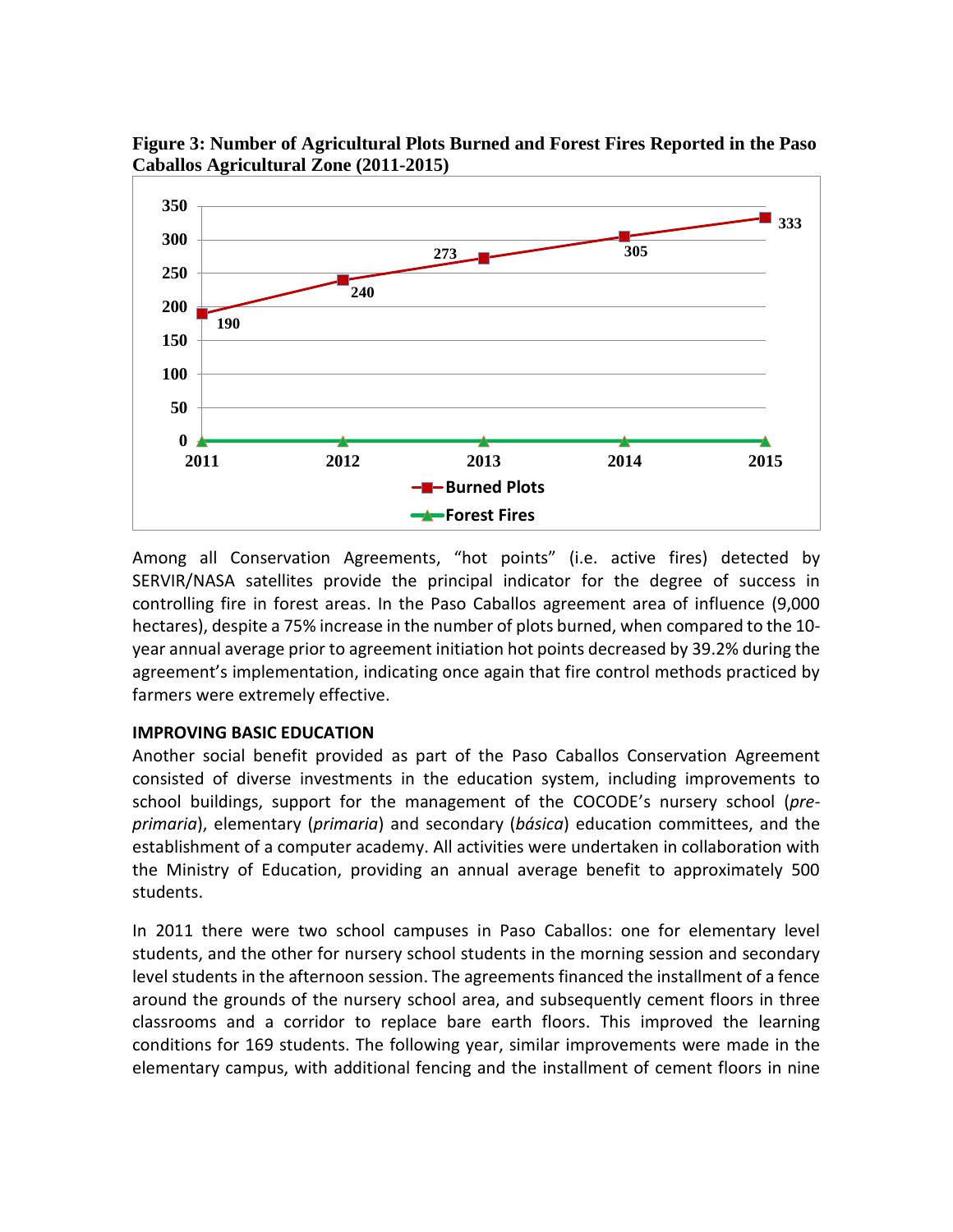

**Figure 3: Number of Agricultural Plots Burned and Forest Fires Reported in the Paso Caballos Agricultural Zone (2011-2015)**

Among all Conservation Agreements, "hot points" (i.e. active fires) detected by SERVIR/NASA satellites provide the principal indicator for the degree of success in controlling fire in forest areas. In the Paso Caballos agreement area of influence (9,000 hectares), despite a 75% increase in the number of plots burned, when compared to the 10 year annual average prior to agreement initiation hot points decreased by 39.2% during the agreement's implementation, indicating once again that fire control methods practiced by farmers were extremely effective.

#### **IMPROVING BASIC EDUCATION**

Another social benefit provided as part of the Paso Caballos Conservation Agreement consisted of diverse investments in the education system, including improvements to school buildings, support for the management of the COCODE's nursery school (*preprimaria*), elementary (*primaria*) and secondary (*básica*) education committees, and the establishment of a computer academy. All activities were undertaken in collaboration with the Ministry of Education, providing an annual average benefit to approximately 500 students.

In 2011 there were two school campuses in Paso Caballos: one for elementary level students, and the other for nursery school students in the morning session and secondary level students in the afternoon session. The agreements financed the installment of a fence around the grounds of the nursery school area, and subsequently cement floors in three classrooms and a corridor to replace bare earth floors. This improved the learning conditions for 169 students. The following year, similar improvements were made in the elementary campus, with additional fencing and the installment of cement floors in nine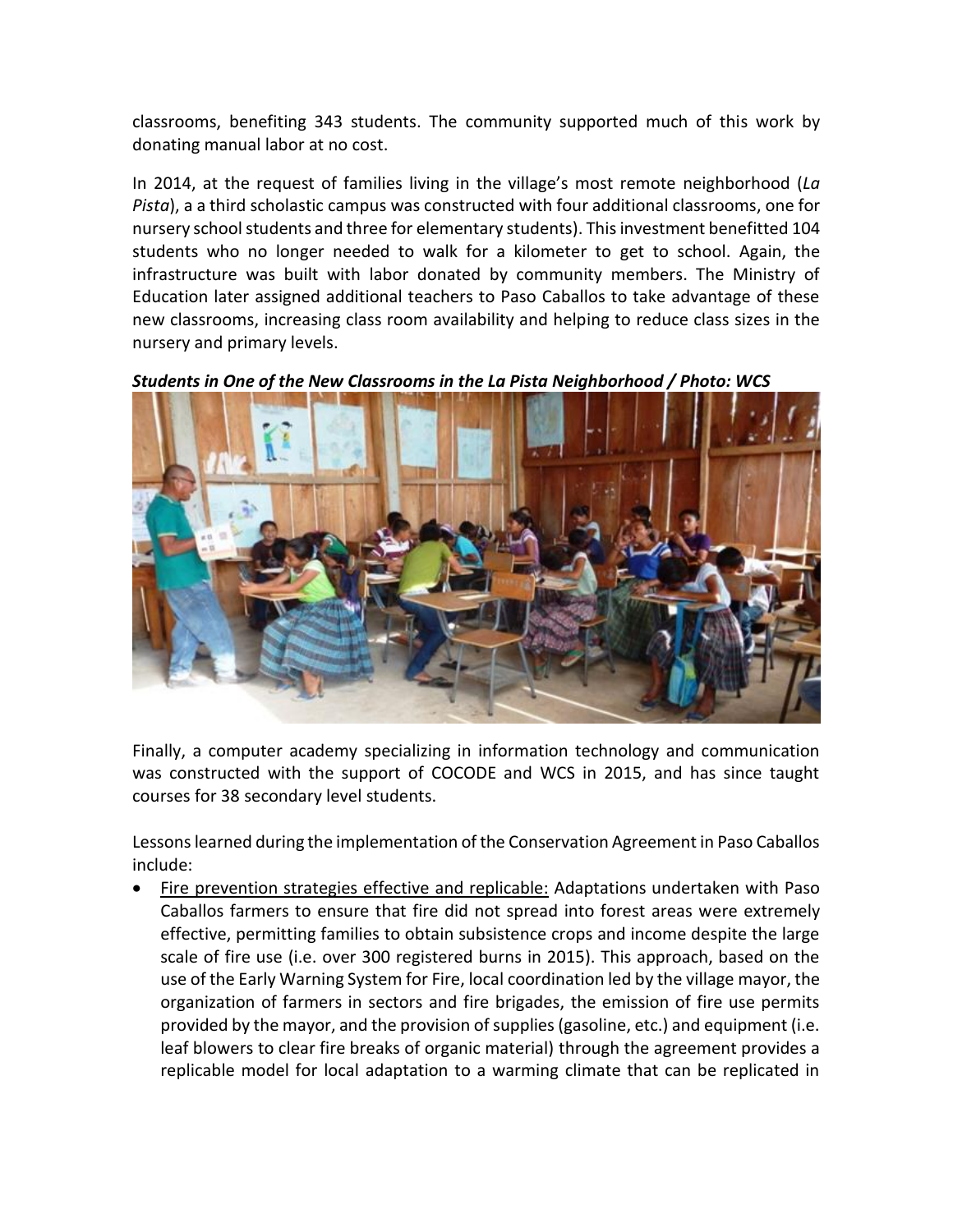classrooms, benefiting 343 students. The community supported much of this work by donating manual labor at no cost.

In 2014, at the request of families living in the village's most remote neighborhood (*La Pista*), a a third scholastic campus was constructed with four additional classrooms, one for nursery school students and three for elementary students). This investment benefitted 104 students who no longer needed to walk for a kilometer to get to school. Again, the infrastructure was built with labor donated by community members. The Ministry of Education later assigned additional teachers to Paso Caballos to take advantage of these new classrooms, increasing class room availability and helping to reduce class sizes in the nursery and primary levels.

*Students in One of the New Classrooms in the La Pista Neighborhood / Photo: WCS*

Finally, a computer academy specializing in information technology and communication was constructed with the support of COCODE and WCS in 2015, and has since taught courses for 38 secondary level students.

Lessons learned during the implementation of the Conservation Agreement in Paso Caballos include:

 Fire prevention strategies effective and replicable: Adaptations undertaken with Paso Caballos farmers to ensure that fire did not spread into forest areas were extremely effective, permitting families to obtain subsistence crops and income despite the large scale of fire use (i.e. over 300 registered burns in 2015). This approach, based on the use of the Early Warning System for Fire, local coordination led by the village mayor, the organization of farmers in sectors and fire brigades, the emission of fire use permits provided by the mayor, and the provision of supplies (gasoline, etc.) and equipment (i.e. leaf blowers to clear fire breaks of organic material) through the agreement provides a replicable model for local adaptation to a warming climate that can be replicated in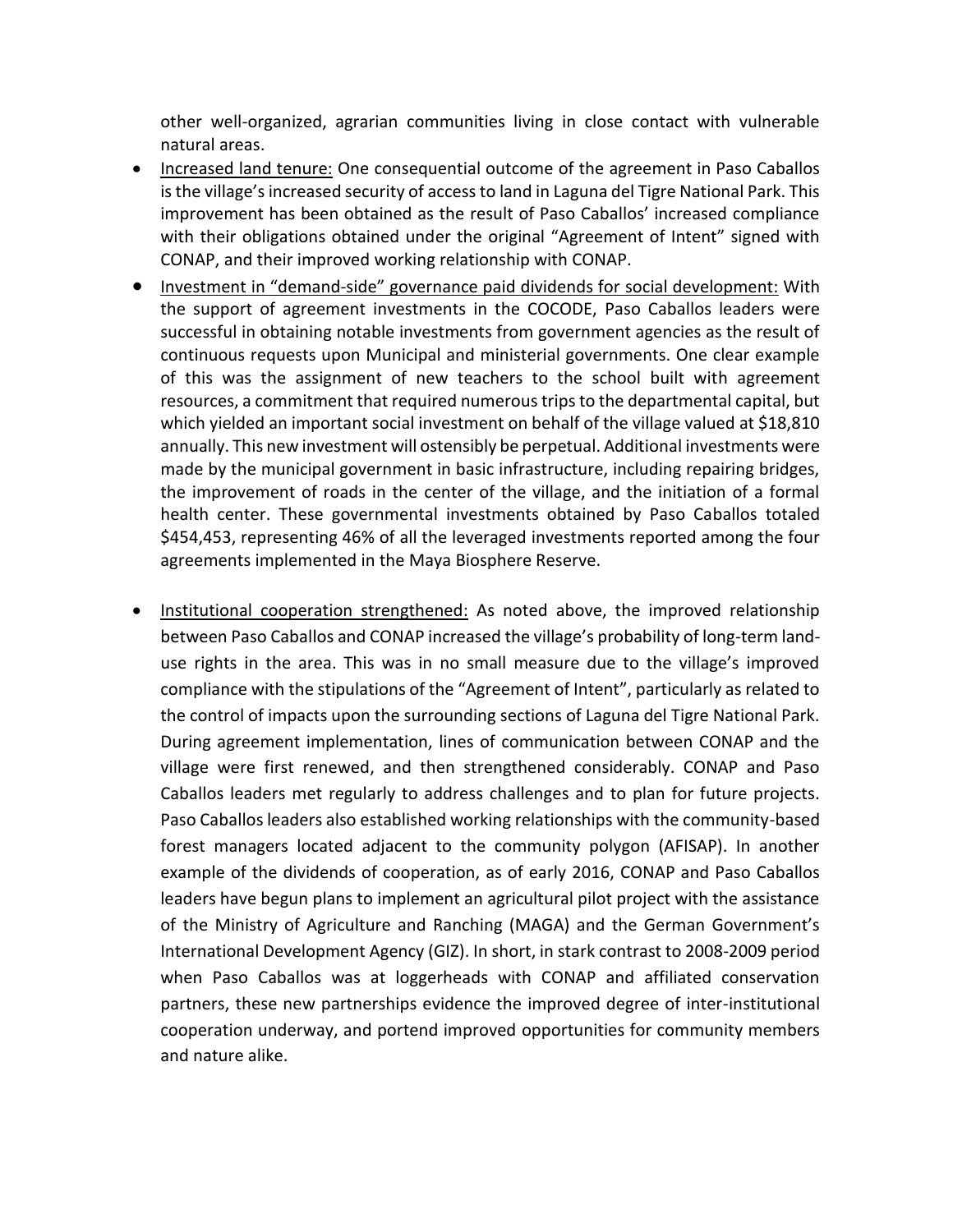other well-organized, agrarian communities living in close contact with vulnerable natural areas.

- **Increased land tenure:** One consequential outcome of the agreement in Paso Caballos is the village's increased security of access to land in Laguna del Tigre National Park. This improvement has been obtained as the result of Paso Caballos' increased compliance with their obligations obtained under the original "Agreement of Intent" signed with CONAP, and their improved working relationship with CONAP.
- **Investment in "demand-side" governance paid dividends for social development: With** the support of agreement investments in the COCODE, Paso Caballos leaders were successful in obtaining notable investments from government agencies as the result of continuous requests upon Municipal and ministerial governments. One clear example of this was the assignment of new teachers to the school built with agreement resources, a commitment that required numerous trips to the departmental capital, but which yielded an important social investment on behalf of the village valued at \$18,810 annually. This new investment will ostensibly be perpetual. Additional investments were made by the municipal government in basic infrastructure, including repairing bridges, the improvement of roads in the center of the village, and the initiation of a formal health center. These governmental investments obtained by Paso Caballos totaled \$454,453, representing 46% of all the leveraged investments reported among the four agreements implemented in the Maya Biosphere Reserve.
- Institutional cooperation strengthened: As noted above, the improved relationship between Paso Caballos and CONAP increased the village's probability of long-term landuse rights in the area. This was in no small measure due to the village's improved compliance with the stipulations of the "Agreement of Intent", particularly as related to the control of impacts upon the surrounding sections of Laguna del Tigre National Park. During agreement implementation, lines of communication between CONAP and the village were first renewed, and then strengthened considerably. CONAP and Paso Caballos leaders met regularly to address challenges and to plan for future projects. Paso Caballos leaders also established working relationships with the community-based forest managers located adjacent to the community polygon (AFISAP). In another example of the dividends of cooperation, as of early 2016, CONAP and Paso Caballos leaders have begun plans to implement an agricultural pilot project with the assistance of the Ministry of Agriculture and Ranching (MAGA) and the German Government's International Development Agency (GIZ). In short, in stark contrast to 2008-2009 period when Paso Caballos was at loggerheads with CONAP and affiliated conservation partners, these new partnerships evidence the improved degree of inter-institutional cooperation underway, and portend improved opportunities for community members and nature alike.